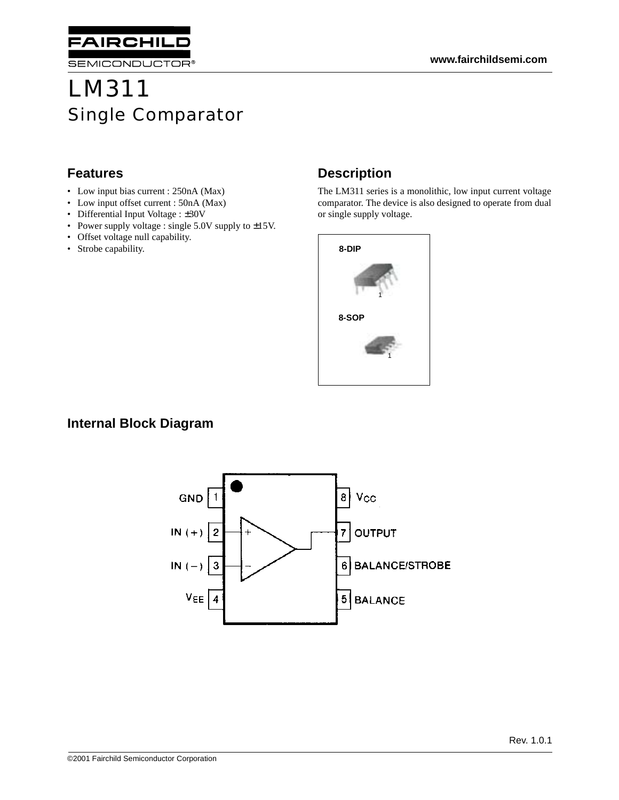

SEMICONDUCTOR®

# LM311 Single Comparator

#### **Features**

- Low input bias current : 250nA (Max)
- Low input offset current : 50nA (Max)
- Differential Input Voltage : ±30V
- Power supply voltage : single 5.0V supply to  $\pm 15V$ .
- Offset voltage null capability.
- Strobe capability.

# **Description**

The LM311 series is a monolithic, low input current voltage comparator. The device is also designed to operate from dual or single supply voltage.



#### **Internal Block Diagram**

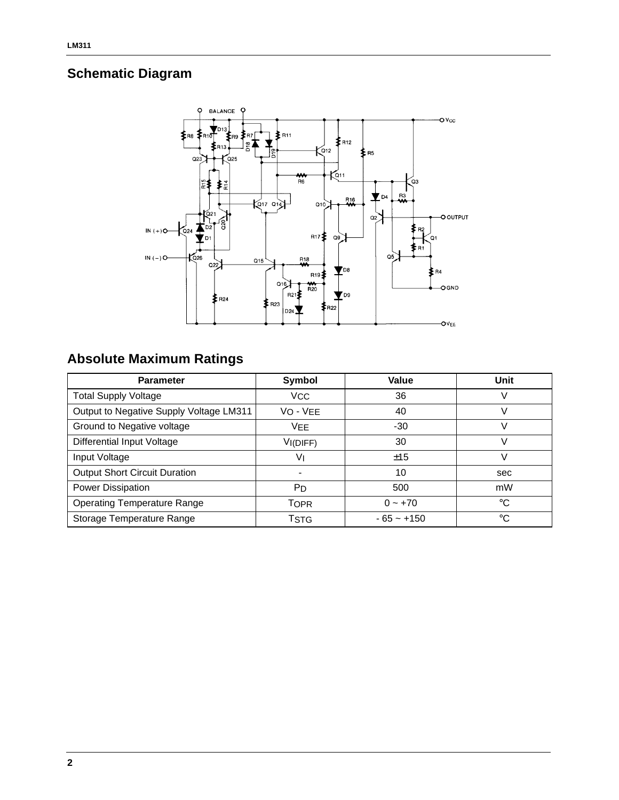# **Schematic Diagram**



# **Absolute Maximum Ratings**

| <b>Parameter</b>                        | Symbol                | Value        | Unit        |
|-----------------------------------------|-----------------------|--------------|-------------|
| <b>Total Supply Voltage</b>             | <b>V<sub>CC</sub></b> | 36           |             |
| Output to Negative Supply Voltage LM311 | VO - VEE              | 40           |             |
| Ground to Negative voltage              | <b>VFF</b>            | $-30$        |             |
| Differential Input Voltage              | VI(DIFF)              | 30           |             |
| Input Voltage                           | V١                    | ±15          |             |
| <b>Output Short Circuit Duration</b>    |                       | 10           | sec         |
| Power Dissipation                       | P <sub>D</sub>        | 500          | mW          |
| <b>Operating Temperature Range</b>      | <b>TOPR</b>           | $0 - +70$    | $^{\circ}C$ |
| Storage Temperature Range               | TSTG                  | $-65 - +150$ | $^{\circ}C$ |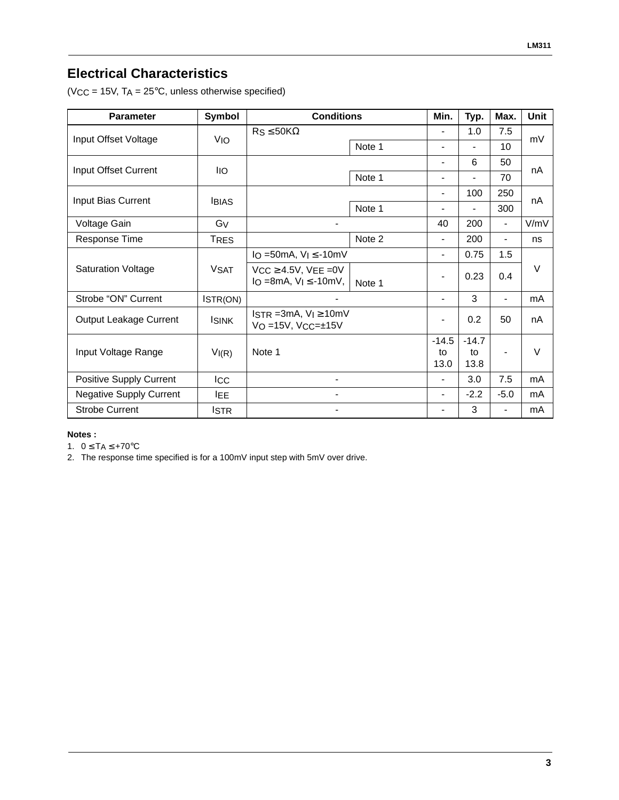### **Electrical Characteristics**

(VCC = 15V,  $TA = 25^{\circ}C$ , unless otherwise specified)

| <b>Parameter</b>               | Symbol         | <b>Conditions</b>                                               |        | Min.                     | Typ.           | Max.           | <b>Unit</b> |
|--------------------------------|----------------|-----------------------------------------------------------------|--------|--------------------------|----------------|----------------|-------------|
| Input Offset Voltage           | <b>VIO</b>     | $Rs \leq 50K\Omega$                                             |        |                          | 1.0            | 7.5            | mV          |
|                                |                |                                                                 | Note 1 | $\blacksquare$           | $\overline{a}$ | 10             |             |
| Input Offset Current           | <b>IIO</b>     |                                                                 |        | $\overline{\phantom{0}}$ | 6              | 50             | nA          |
|                                |                |                                                                 | Note 1 | $\overline{\phantom{a}}$ | $\blacksquare$ | 70             |             |
| Input Bias Current             | <b>IBIAS</b>   |                                                                 |        | $\blacksquare$           | 100            | 250            |             |
|                                |                |                                                                 | Note 1 | $\overline{\phantom{a}}$ | $\overline{a}$ | 300            | nA          |
| Voltage Gain                   | G <sub>V</sub> | $\blacksquare$                                                  |        | 40                       | 200            | $\frac{1}{2}$  | V/mV        |
| Response Time                  | <b>TRES</b>    |                                                                 | Note 2 | $\blacksquare$           | 200            | $\blacksquare$ | ns          |
| <b>Saturation Voltage</b>      | <b>VSAT</b>    | IO = 50mA, $V_1 \le -10$ mV                                     |        | $\overline{\phantom{0}}$ | 0.75           | 1.5            |             |
|                                |                | $VCC \geq 4.5V$ , $VEE = 0V$<br>$I_O = 8mA$ , $V_I \le -10mV$ , | Note 1 | $\blacksquare$           | 0.23           | 0.4            | $\vee$      |
| Strobe "ON" Current            | ISTR(ON)       |                                                                 |        | $\blacksquare$           | 3              | $\blacksquare$ | mA          |
| Output Leakage Current         | <b>ISINK</b>   | $ISTR = 3mA, V_I \ge 10mV$<br>$VO = 15V$ , $VCC = ±15V$         |        |                          | 0.2            | 50             | nA          |
| Input Voltage Range            | VI(R)          | Note 1                                                          |        | $-14.5$                  | $-14.7$        |                |             |
|                                |                |                                                                 |        | to<br>13.0               | tο<br>13.8     | $\blacksquare$ | V           |
| Positive Supply Current        | <b>ICC</b>     | $\overline{a}$                                                  |        |                          | 3.0            | 7.5            | mA          |
| <b>Negative Supply Current</b> | <b>IEE</b>     | $\overline{a}$                                                  |        | $\blacksquare$           | $-2.2$         | $-5.0$         | mA          |
| <b>Strobe Current</b>          | <b>ISTR</b>    | $\overline{\phantom{a}}$                                        |        | $\overline{\phantom{a}}$ | 3              | $\blacksquare$ | mA          |

#### **Notes :**

1.  $0 \leq T_A \leq +70^{\circ}C$ 

2. The response time specified is for a 100mV input step with 5mV over drive.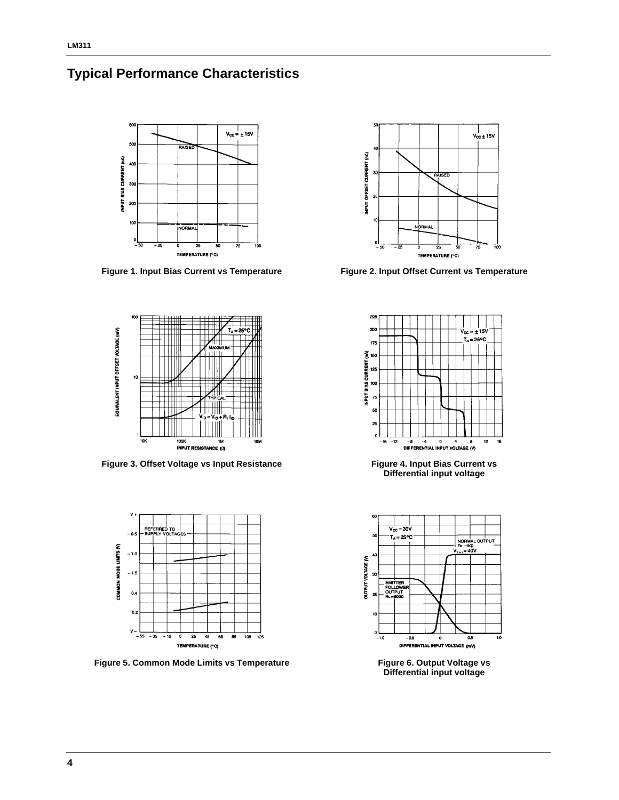



**Figure 1. Input Bias Current vs Temperature Figure 2. Input Offset Current vs Temperature**



**Figure 3. Offset Voltage vs Input Resistance Figure 4. Input Bias Current vs** 



Figure 5. Common Mode Limits vs Temperature **Figure 6. Output Voltage vs Figure 6. Output Voltage vs** 





**Differential input voltage**



**Differential input voltage**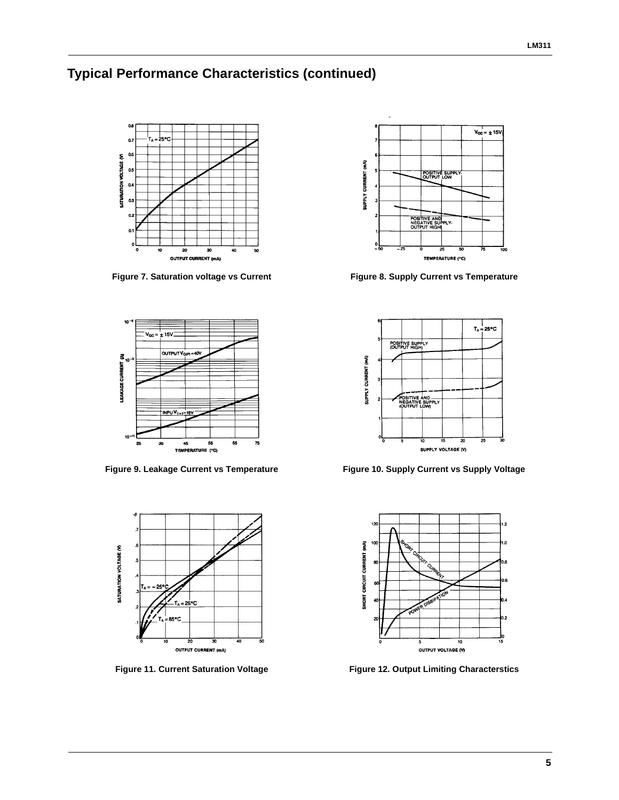## **Typical Performance Characteristics (continued)**









Figure 7. Saturation voltage vs Current Figure 8. Supply Current vs Temperature



**Figure 9. Leakage Current vs Temperature Figure 10. Supply Current vs Supply Voltage**



**Figure 11. Current Saturation Voltage Figure 12. Output Limiting Characterstics**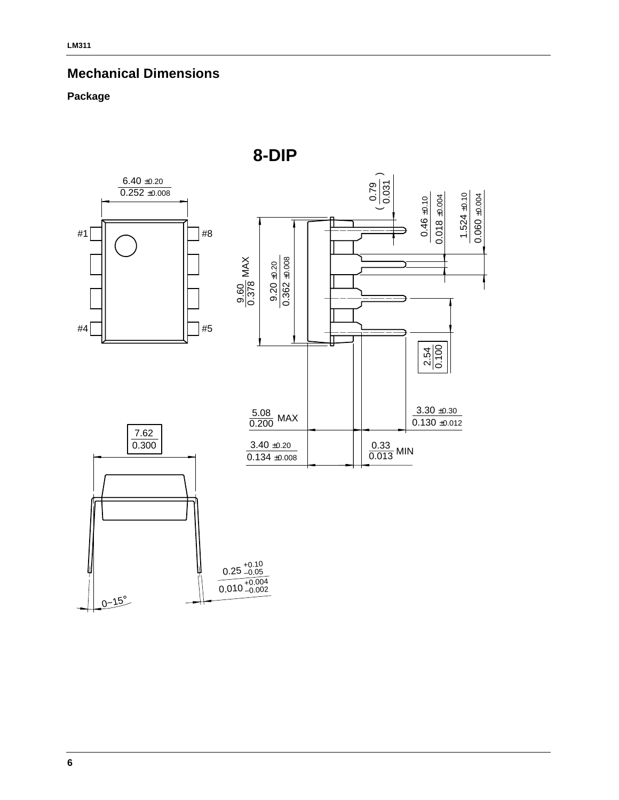### **Mechanical Dimensions**

#### **Package**



**8-DIP**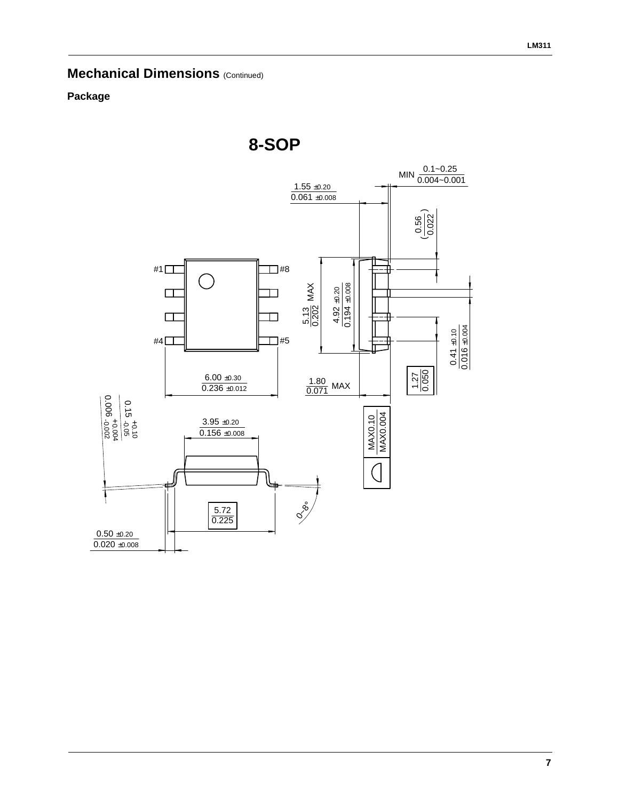## **Mechanical Dimensions (Continued)**

#### **Package**

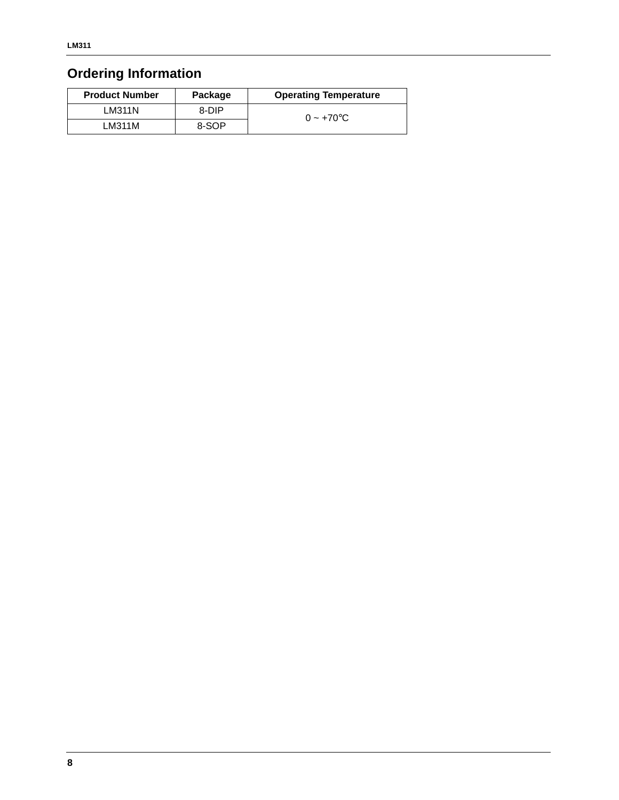# **Ordering Information**

| <b>Product Number</b> | Package | <b>Operating Temperature</b> |
|-----------------------|---------|------------------------------|
| LM311N                | 8-DIP   | $0 \sim +70$ °C              |
| LM311M                | 8-SOP   |                              |